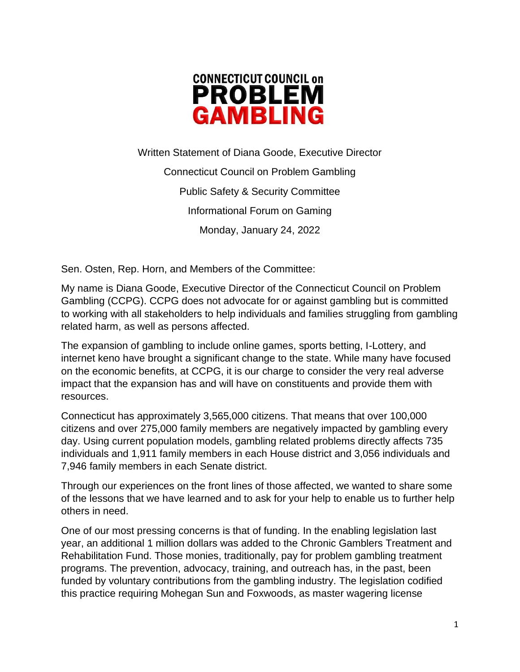

Written Statement of Diana Goode, Executive Director Connecticut Council on Problem Gambling Public Safety & Security Committee Informational Forum on Gaming Monday, January 24, 2022

Sen. Osten, Rep. Horn, and Members of the Committee:

My name is Diana Goode, Executive Director of the Connecticut Council on Problem Gambling (CCPG). CCPG does not advocate for or against gambling but is committed to working with all stakeholders to help individuals and families struggling from gambling related harm, as well as persons affected.

The expansion of gambling to include online games, sports betting, I-Lottery, and internet keno have brought a significant change to the state. While many have focused on the economic benefits, at CCPG, it is our charge to consider the very real adverse impact that the expansion has and will have on constituents and provide them with resources.

Connecticut has approximately 3,565,000 citizens. That means that over 100,000 citizens and over 275,000 family members are negatively impacted by gambling every day. Using current population models, gambling related problems directly affects 735 individuals and 1,911 family members in each House district and 3,056 individuals and 7,946 family members in each Senate district.

Through our experiences on the front lines of those affected, we wanted to share some of the lessons that we have learned and to ask for your help to enable us to further help others in need.

One of our most pressing concerns is that of funding. In the enabling legislation last year, an additional 1 million dollars was added to the Chronic Gamblers Treatment and Rehabilitation Fund. Those monies, traditionally, pay for problem gambling treatment programs. The prevention, advocacy, training, and outreach has, in the past, been funded by voluntary contributions from the gambling industry. The legislation codified this practice requiring Mohegan Sun and Foxwoods, as master wagering license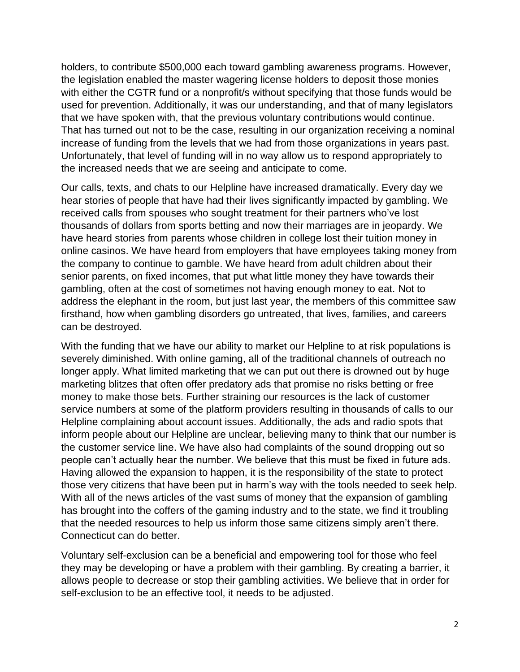holders, to contribute \$500,000 each toward gambling awareness programs. However, the legislation enabled the master wagering license holders to deposit those monies with either the CGTR fund or a nonprofit/s without specifying that those funds would be used for prevention. Additionally, it was our understanding, and that of many legislators that we have spoken with, that the previous voluntary contributions would continue. That has turned out not to be the case, resulting in our organization receiving a nominal increase of funding from the levels that we had from those organizations in years past. Unfortunately, that level of funding will in no way allow us to respond appropriately to the increased needs that we are seeing and anticipate to come.

Our calls, texts, and chats to our Helpline have increased dramatically. Every day we hear stories of people that have had their lives significantly impacted by gambling. We received calls from spouses who sought treatment for their partners who've lost thousands of dollars from sports betting and now their marriages are in jeopardy. We have heard stories from parents whose children in college lost their tuition money in online casinos. We have heard from employers that have employees taking money from the company to continue to gamble. We have heard from adult children about their senior parents, on fixed incomes, that put what little money they have towards their gambling, often at the cost of sometimes not having enough money to eat. Not to address the elephant in the room, but just last year, the members of this committee saw firsthand, how when gambling disorders go untreated, that lives, families, and careers can be destroyed.

With the funding that we have our ability to market our Helpline to at risk populations is severely diminished. With online gaming, all of the traditional channels of outreach no longer apply. What limited marketing that we can put out there is drowned out by huge marketing blitzes that often offer predatory ads that promise no risks betting or free money to make those bets. Further straining our resources is the lack of customer service numbers at some of the platform providers resulting in thousands of calls to our Helpline complaining about account issues. Additionally, the ads and radio spots that inform people about our Helpline are unclear, believing many to think that our number is the customer service line. We have also had complaints of the sound dropping out so people can't actually hear the number. We believe that this must be fixed in future ads. Having allowed the expansion to happen, it is the responsibility of the state to protect those very citizens that have been put in harm's way with the tools needed to seek help. With all of the news articles of the vast sums of money that the expansion of gambling has brought into the coffers of the gaming industry and to the state, we find it troubling that the needed resources to help us inform those same citizens simply aren't there. Connecticut can do better.

Voluntary self-exclusion can be a beneficial and empowering tool for those who feel they may be developing or have a problem with their gambling. By creating a barrier, it allows people to decrease or stop their gambling activities. We believe that in order for self-exclusion to be an effective tool, it needs to be adjusted.